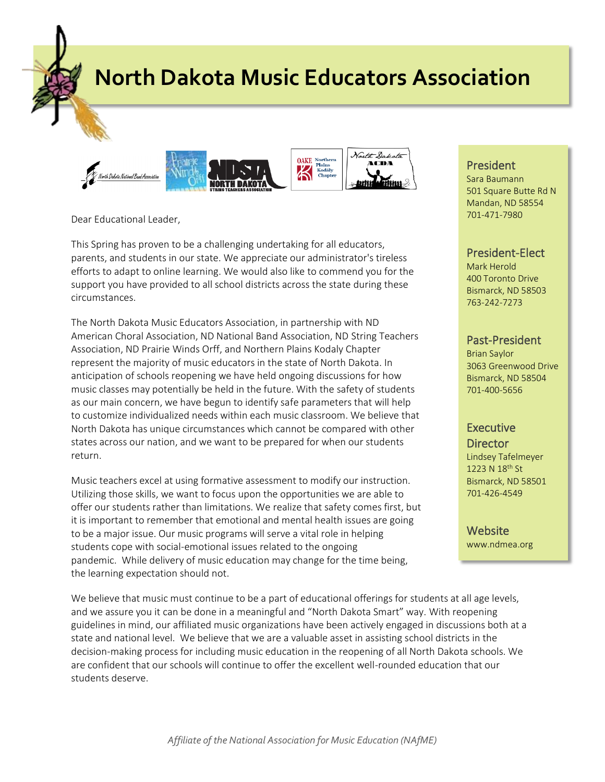**North Dakota Music Educators Association**



Dear Educational Leader,

This Spring has proven to be a challenging undertaking for all educators, parents, and students in our state. We appreciate our administrator's tireless efforts to adapt to online learning. We would also like to commend you for the support you have provided to all school districts across the state during these circumstances.

The North Dakota Music Educators Association, in partnership with ND American Choral Association, ND National Band Association, ND String Teachers Association, ND Prairie Winds Orff, and Northern Plains Kodaly Chapter represent the majority of music educators in the state of North Dakota. In anticipation of schools reopening we have held ongoing discussions for how music classes may potentially be held in the future. With the safety of students as our main concern, we have begun to identify safe parameters that will help to customize individualized needs within each music classroom. We believe that North Dakota has unique circumstances which cannot be compared with other states across our nation, and we want to be prepared for when our students return.

Music teachers excel at using formative assessment to modify our instruction. Utilizing those skills, we want to focus upon the opportunities we are able to offer our students rather than limitations. We realize that safety comes first, but it is important to remember that emotional and mental health issues are going to be a major issue. Our music programs will serve a vital role in helping students cope with social-emotional issues related to the ongoing pandemic. While delivery of music education may change for the time being, the learning expectation should not.

We believe that music must continue to be a part of educational offerings for students at all age levels, and we assure you it can be done in a meaningful and "North Dakota Smart" way. With reopening guidelines in mind, our affiliated music organizations have been actively engaged in discussions both at a state and national level. We believe that we are a valuable asset in assisting school districts in the decision-making process for including music education in the reopening of all North Dakota schools. We are confident that our schools will continue to offer the excellent well-rounded education that our students deserve.

# President

Sara Baumann 501 Square Butte Rd N Mandan, ND 58554 701-471-7980

## President-Elect

Mark Herold 400 Toronto Drive Bismarck, ND 58503 763-242-7273

#### Past-President

Brian Saylor 3063 Greenwood Drive Bismarck, ND 58504 701-400-5656

### Executive

**Director** Lindsey Tafelmeyer 1223 N 18<sup>th</sup> St Bismarck, ND 58501 701-426-4549

**Website** www.ndmea.org